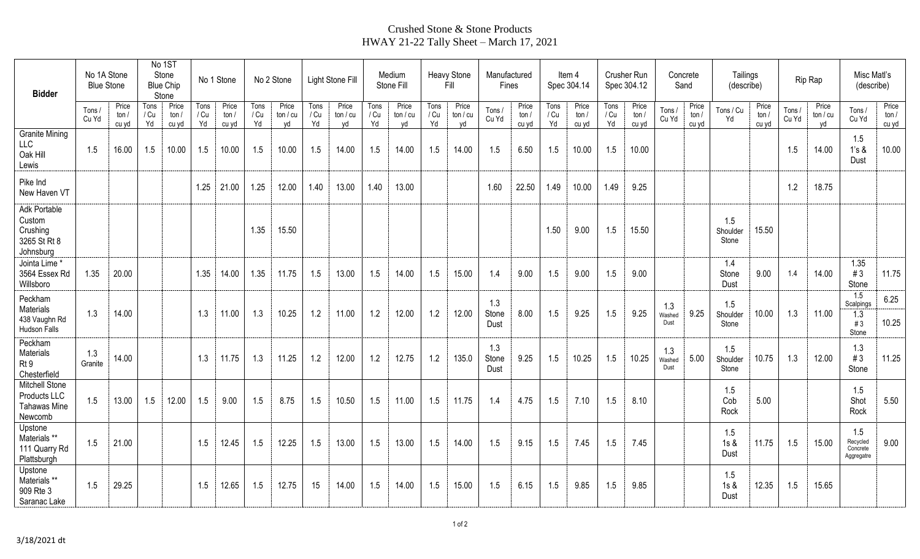## Crushed Stone & Stone Products HWAY 21-22 Tally Sheet – March 17, 2021

| <b>Bidder</b>                                                           | No 1A Stone<br><b>Blue Stone</b> |                           | No 1ST<br>Stone<br><b>Blue Chip</b><br>Stone |                         | No 1 Stone         |                           | No 2 Stone         |                         | Light Stone Fill   |                       | Medium<br>Stone Fill |                       | Heavy Stone<br>Fill |                       | Manufactured<br>Fines |                        | ltem 4<br>Spec 304.14 |                        | Crusher Run<br>Spec 304.12 |                         | Concrete<br>Sand      |                         | Tailings<br>(describe)   |                        | Rip Rap        |                       | Misc Matl's<br>(describe)                 |                        |
|-------------------------------------------------------------------------|----------------------------------|---------------------------|----------------------------------------------|-------------------------|--------------------|---------------------------|--------------------|-------------------------|--------------------|-----------------------|----------------------|-----------------------|---------------------|-----------------------|-----------------------|------------------------|-----------------------|------------------------|----------------------------|-------------------------|-----------------------|-------------------------|--------------------------|------------------------|----------------|-----------------------|-------------------------------------------|------------------------|
|                                                                         | Tons/<br>Cu Yd                   | Price<br>ton $/$<br>cu yd | Tons<br>/ Cu<br>Yd                           | Price<br>ton /<br>cu yd | Tons<br>/ Cu<br>Yd | Price<br>ton $/$<br>cu yd | Tons<br>/ Cu<br>Yd | Price<br>ton / cu<br>vd | Tons<br>/ Cu<br>Yd | Price<br>tan/cu<br>yd | Tons<br>/ Cu<br>Yd   | Price<br>ton/cu<br>yd | Tons<br>/ Cu<br>Yd  | Price<br>tan/cu<br>yd | Tons /<br>Cu Yd       | Price<br>ton/<br>cu yd | Tons<br>/ Cu<br>Yd    | Price<br>ton/<br>cu yd | Tons<br>/ Cu<br>Yd         | Price<br>ton /<br>cu yd | Tons /<br>Cu Yd       | Price<br>ton /<br>cu yd | Tons / Cu<br>Yd          | Price<br>ton/<br>cu yd | Tons/<br>Cu Yd | Price<br>ton/cu<br>vd | Tons /<br>Cu Yd                           | Price<br>ton/<br>cu yd |
| <b>Granite Mining</b><br>LLC<br>Oak Hill<br>Lewis                       | 1.5                              | 16.00                     | 1.5                                          | 10.00                   | 1.5                | 10.00                     | 1.5                | 10.00                   | 1.5                | 14.00                 | 1.5                  | 14.00                 | 1.5                 | 14.00                 | 1.5                   | 6.50                   | 1.5                   | 10.00                  | 1.5                        | 10.00                   |                       |                         |                          |                        | 1.5            | 14.00                 | 1.5<br>1's &<br>Dust                      | 10.00                  |
| Pike Ind<br>New Haven VT                                                |                                  |                           |                                              |                         | 1.25               | 21.00                     | 1.25               | 12.00                   | 1.40               | 13.00                 | 1.40                 | 13.00                 |                     |                       | 1.60                  | 22.50                  | 1.49                  | 10.00                  | 1.49                       | 9.25                    |                       |                         |                          |                        | 1.2            | 18.75                 |                                           |                        |
| Adk Portable<br>Custom<br>Crushing<br>3265 St Rt 8<br>Johnsburg         |                                  |                           |                                              |                         |                    |                           | 1.35               | 15.50                   |                    |                       |                      |                       |                     |                       |                       |                        | 1.50                  | 9.00                   | 1.5                        | 15.50                   |                       |                         | 1.5<br>Shoulder<br>Stone | 15.50                  |                |                       |                                           |                        |
| Jointa Lime*<br>3564 Essex Rd<br>Willsboro                              | 1.35                             | 20.00                     |                                              |                         | 1.35               | 14.00                     | 1.35               | 11.75                   | 1.5                | 13.00                 | 1.5                  | 14.00                 | 1.5                 | 15.00                 | 1.4                   | 9.00                   | 1.5                   | 9.00                   | 1.5                        | 9.00                    |                       |                         | 1.4<br>Stone<br>Dust     | 9.00                   | 1.4            | 14.00                 | 1.35<br>#3<br>Stone                       | 11.75                  |
| Peckham<br>Materials<br>438 Vaughn Rd<br>Hudson Falls                   | 1.3                              | 14.00                     |                                              |                         | 1.3                | 11.00                     | 1.3                | 10.25                   | 1.2                | 11.00                 | 1.2                  | 12.00                 | 1.2                 | 12.00                 | 1.3<br>Stone<br>Dust  | 8.00                   | 1.5                   | 9.25                   | 1.5                        | 9.25                    | 1.3<br>Washed<br>Dust | 9.25                    | 1.5<br>Shoulder<br>Stone | 10.00                  | 1.3            | 11.00                 | 1.5<br>Scalpings<br>1.3<br>#3<br>Stone    | 6.25<br>10.25          |
| Peckham<br>Materials<br>Rt 9<br>Chesterfield                            | 1.3<br>Granite                   | 14.00                     |                                              |                         | 1.3                | 11.75                     | 1.3                | 11.25                   | 1.2                | 12.00                 | 1.2                  | 12.75                 | 1.2                 | 135.0                 | 1.3<br>Stone<br>Dust  | 9.25                   | 1.5                   | 10.25                  | 1.5                        | 10.25                   | 1.3<br>Washed<br>Dust | 5.00                    | 1.5<br>Shoulder<br>Stone | 10.75                  | 1.3            | 12.00                 | 1.3<br>#3<br>Stone                        | 11.25                  |
| <b>Mitchell Stone</b><br>Products LLC<br><b>Tahawas Mine</b><br>Newcomb | 1.5                              | 13.00                     | 1.5                                          | 12.00                   | 1.5                | 9.00                      | 1.5                | 8.75                    | 1.5                | 10.50                 | 1.5                  | 11.00                 | 1.5                 | 11.75                 | 1.4                   | 4.75                   | 1.5                   | 7.10                   | 1.5                        | 8.10                    |                       |                         | 1.5<br>Cob<br>Rock       | 5.00                   |                |                       | 1.5<br>Shot<br>Rock                       | 5.50                   |
| Upstone<br>Materials **<br>111 Quarry Rd<br>Plattsburgh                 | 1.5                              | 21.00                     |                                              |                         | 1.5                | 12.45                     | 1.5                | 12.25                   | 1.5                | 13.00                 | 1.5                  | 13.00                 | 1.5                 | 14.00                 | 1.5                   | 9.15                   | 1.5                   | 7.45                   | 1.5                        | 7.45                    |                       |                         | 1.5<br>$1s$ &<br>Dust    | 11.75                  | 1.5            | 15.00                 | 1.5<br>Recycled<br>Concrete<br>Aggregatre | 9.00                   |
| Upstone<br>Materials **<br>909 Rte 3<br>Saranac Lake                    | 1.5                              | 29.25                     |                                              |                         | 1.5                | 12.65                     | 1.5                | 12.75                   | 15                 | 14.00                 | 1.5                  | 14.00                 | 1.5                 | 15.00                 | 1.5                   | 6.15                   | 1.5                   | 9.85                   | 1.5                        | 9.85                    |                       |                         | 1.5<br>1s &<br>Dust      | 12.35                  | 1.5            | 15.65                 |                                           |                        |